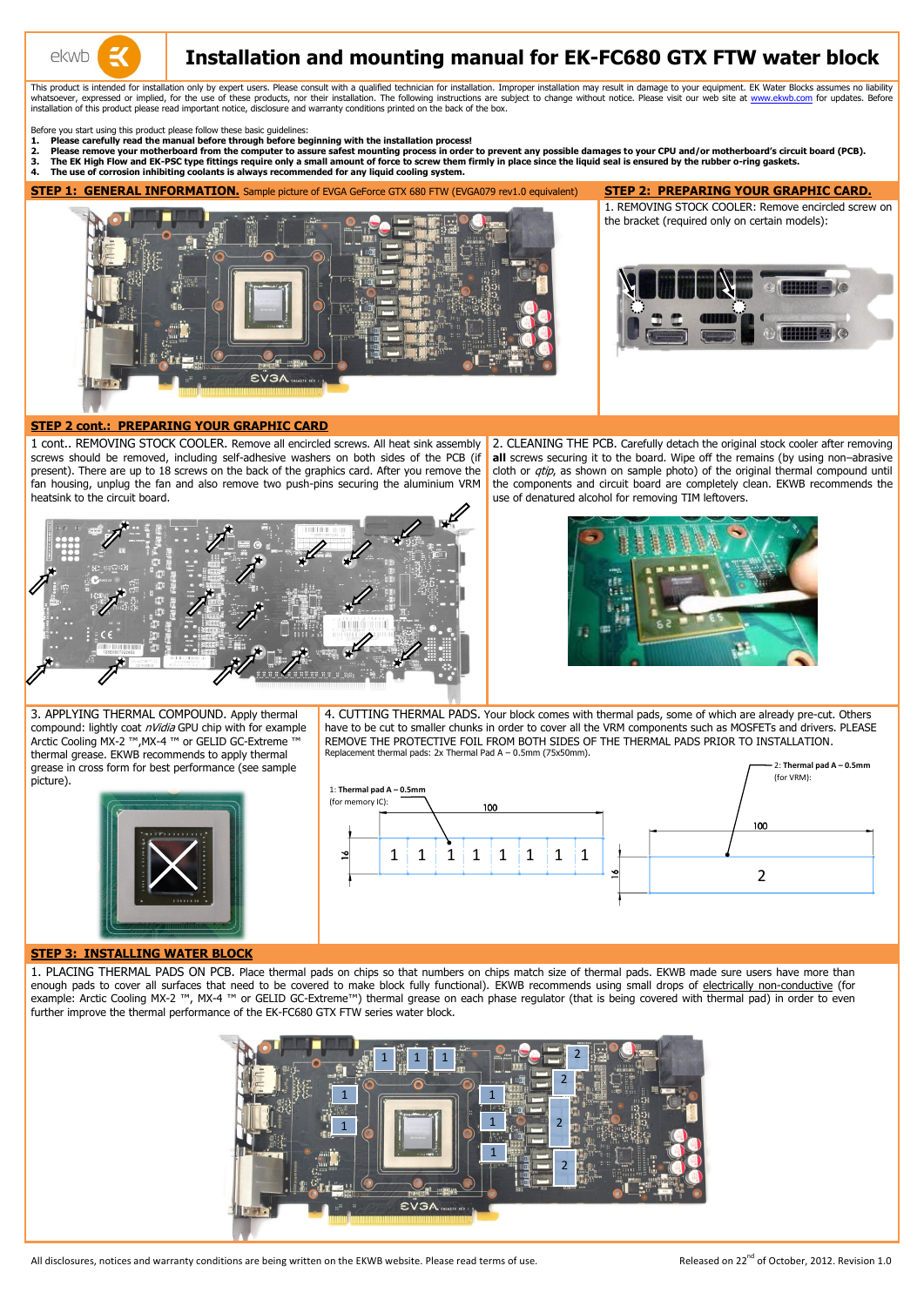

# **Installation and mounting manual for EK-FC680 GTX FTW water block**

This product is intended for installation only by expert users. Please consult with a qualified technician for installation. Improper installation may result in damage to your equipment. EK Water Blocks assumes no liabilit whatsoever, expressed or implied, for the use of these products, nor their installation. The following instructions are subject to change without notice. Please visit our web site at [www.ekwb.com](http://www.ekwb.com/) for updates. Before installation of this product please read important notice, disclosure and warranty conditions printed on the back of the box.

Before you start using this product please follow these basic guidelines:

- **1. Please carefully read the manual before through before beginning with the installation process!**
- 2. Please remove your motherboard from the computer to assure safest mounting process in order to prevent any possible damages to your CPU and/or motherboard's circuit board (PCB).<br>3. The EK High Flow and EK-PSC type fitti
- **3. The EK High Flow and EK-PSC type fittings require only a small amount of force to screw them firmly in place since the liquid seal is ensured by the rubber o-ring gaskets.**
- **4. The use of corrosion inhibiting coolants is always recommended for any liquid cooling system.**

**STEP 1: GENERAL INFORMATION.** Sample picture of EVGA GeForce GTX 680 FTW (EVGA079 rev1.0 equivalent) **STEP 2: PREPARING YOUR GRAPHIC CARD.**



1. REMOVING STOCK COOLER: Remove encircled screw on the bracket (required only on certain models):



#### **STEP 2 cont.: PREPARING YOUR GRAPHIC CARD**

1 cont.. REMOVING STOCK COOLER. Remove all encircled screws. All heat sink assembly screws should be removed, including self-adhesive washers on both sides of the PCB (if present). There are up to 18 screws on the back of the graphics card. After you remove the fan housing, unplug the fan and also remove two push-pins securing the aluminium VRM heatsink to the circuit board.



2. CLEANING THE PCB. Carefully detach the original stock cooler after removing **all** screws securing it to the board. Wipe off the remains (by using non–abrasive cloth or *qtip*, as shown on sample photo) of the original thermal compound until the components and circuit board are completely clean. EKWB recommends the use of denatured alcohol for removing TIM leftovers.



3. APPLYING THERMAL COMPOUND. Apply thermal compound: lightly coat nVidia GPU chip with for example Arctic Cooling MX-2 ™,MX-4 ™ or GELID GC-Extreme ™ thermal grease. EKWB recommends to apply thermal grease in cross form for best performance (see sample picture).



#### **STEP 3: INSTALLING WATER BLOCK**

4. CUTTING THERMAL PADS. Your block comes with thermal pads, some of which are already pre-cut. Others have to be cut to smaller chunks in order to cover all the VRM components such as MOSFETs and drivers. PLEASE REMOVE THE PROTECTIVE FOIL FROM BOTH SIDES OF THE THERMAL PADS PRIOR TO INSTALLATION. Replacement thermal pads: 2x Thermal Pad A – 0.5mm (75x50mm). 2: **Thermal pad A – 0.5mm**

1. PLACING THERMAL PADS ON PCB. Place thermal pads on chips so that numbers on chips match size of thermal pads. EKWB made sure users have more than enough pads to cover all surfaces that need to be covered to make block fully functional). EKWB recommends using small drops of electrically non-conductive (for example: Arctic Cooling MX-2 ™, MX-4 ™ or GELID GC-Extreme™) thermal grease on each phase regulator (that is being covered with thermal pad) in order to even further improve the thermal performance of the EK-FC680 GTX FTW series water block.





All disclosures, notices and warranty conditions are being written on the EKWB website. Please read terms of use.

Released on 22<sup>nd</sup> of October, 2012. Revision 1.0